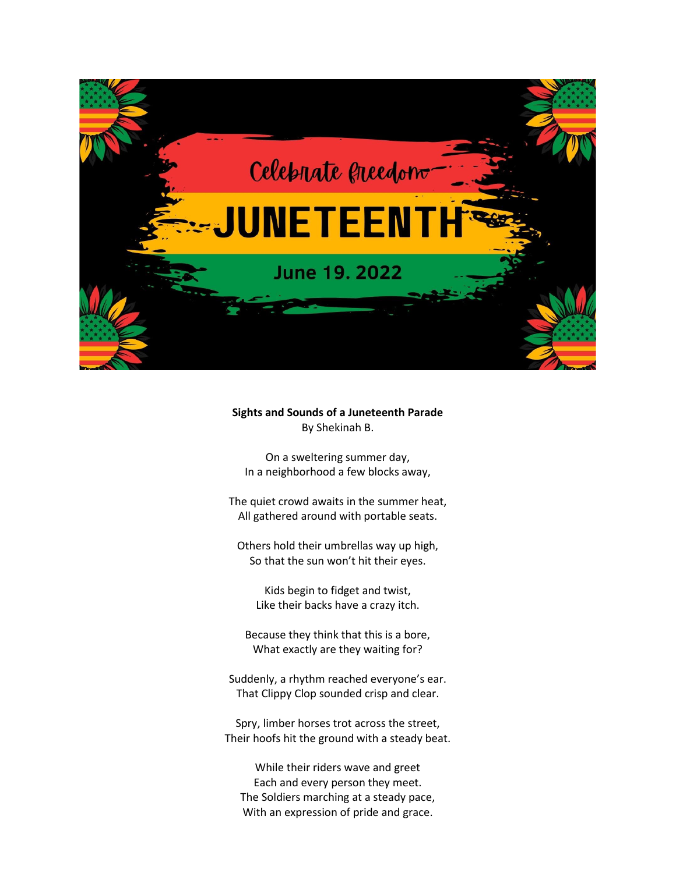

## **Sights and Sounds of a Juneteenth Parade** By Shekinah B.

On a sweltering summer day, In a neighborhood a few blocks away,

The quiet crowd awaits in the summer heat, All gathered around with portable seats.

Others hold their umbrellas way up high, So that the sun won't hit their eyes.

Kids begin to fidget and twist, Like their backs have a crazy itch.

Because they think that this is a bore, What exactly are they waiting for?

Suddenly, a rhythm reached everyone's ear. That Clippy Clop sounded crisp and clear.

Spry, limber horses trot across the street, Their hoofs hit the ground with a steady beat.

While their riders wave and greet Each and every person they meet. The Soldiers marching at a steady pace, With an expression of pride and grace.